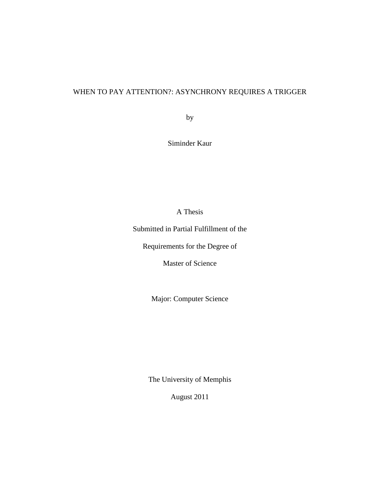## WHEN TO PAY ATTENTION?: ASYNCHRONY REQUIRES A TRIGGER

by

Siminder Kaur

A Thesis

Submitted in Partial Fulfillment of the

Requirements for the Degree of

Master of Science

Major: Computer Science

The University of Memphis

August 2011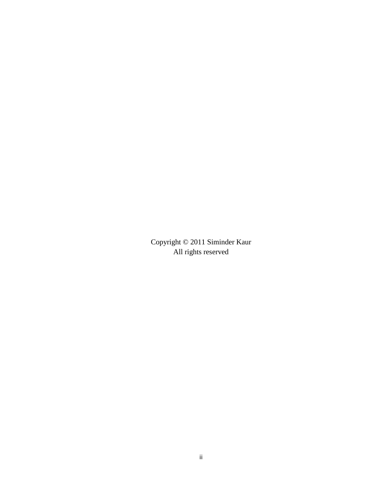Copyright © 2011 Siminder Kaur All rights reserved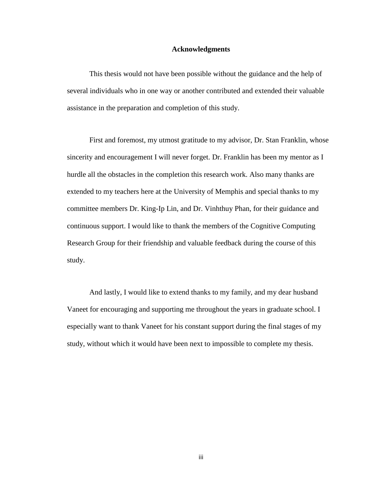#### **Acknowledgments**

This thesis would not have been possible without the guidance and the help of several individuals who in one way or another contributed and extended their valuable assistance in the preparation and completion of this study.

First and foremost, my utmost gratitude to my advisor, Dr. Stan Franklin, whose sincerity and encouragement I will never forget. Dr. Franklin has been my mentor as I hurdle all the obstacles in the completion this research work. Also many thanks are extended to my teachers here at the University of Memphis and special thanks to my committee members Dr. King-Ip Lin, and Dr. Vinhthuy Phan, for their guidance and continuous support. I would like to thank the members of the Cognitive Computing Research Group for their friendship and valuable feedback during the course of this study.

And lastly, I would like to extend thanks to my family, and my dear husband Vaneet for encouraging and supporting me throughout the years in graduate school. I especially want to thank Vaneet for his constant support during the final stages of my study, without which it would have been next to impossible to complete my thesis.

iii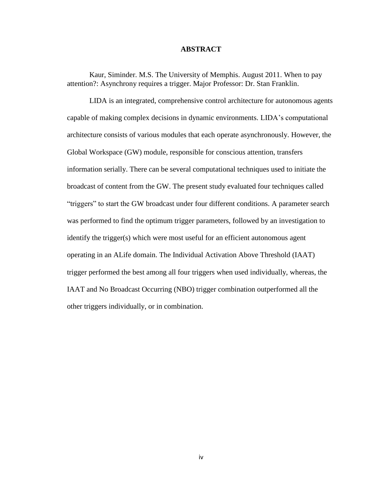#### **ABSTRACT**

Kaur, Siminder. M.S. The University of Memphis. August 2011. When to pay attention?: Asynchrony requires a trigger. Major Professor: Dr. Stan Franklin.

LIDA is an integrated, comprehensive control architecture for autonomous agents capable of making complex decisions in dynamic environments. LIDA"s computational architecture consists of various modules that each operate asynchronously. However, the Global Workspace (GW) module, responsible for conscious attention, transfers information serially. There can be several computational techniques used to initiate the broadcast of content from the GW. The present study evaluated four techniques called "triggers" to start the GW broadcast under four different conditions. A parameter search was performed to find the optimum trigger parameters, followed by an investigation to identify the trigger(s) which were most useful for an efficient autonomous agent operating in an ALife domain. The Individual Activation Above Threshold (IAAT) trigger performed the best among all four triggers when used individually, whereas, the IAAT and No Broadcast Occurring (NBO) trigger combination outperformed all the other triggers individually, or in combination.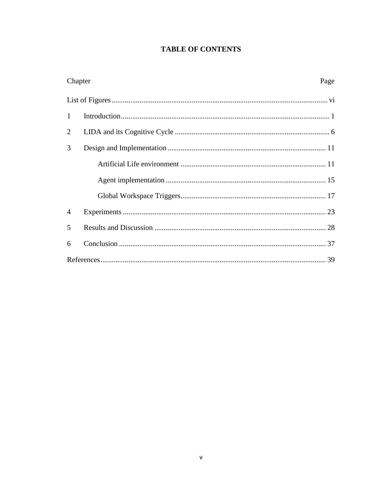# **TABLE OF CONTENTS**

| Chapter        | Page |
|----------------|------|
|                |      |
| $\mathbf{1}$   |      |
| $\overline{2}$ |      |
| 3              |      |
|                |      |
|                |      |
|                |      |
| $\overline{4}$ |      |
| 5              |      |
| 6              |      |
|                |      |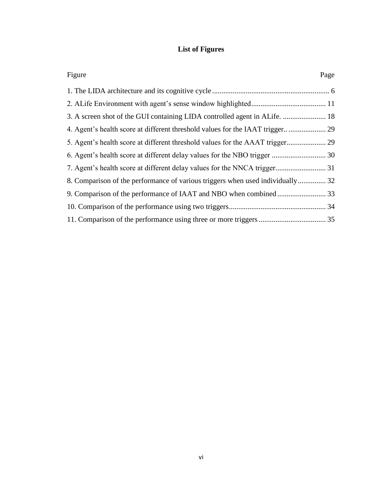# **List of Figures**

<span id="page-5-0"></span>

| Figure                                                                         | Page |
|--------------------------------------------------------------------------------|------|
|                                                                                |      |
|                                                                                |      |
| 3. A screen shot of the GUI containing LIDA controlled agent in ALife.  18     |      |
| 4. Agent's health score at different threshold values for the IAAT trigger 29  |      |
| 5. Agent's health score at different threshold values for the AAAT trigger 29  |      |
|                                                                                |      |
|                                                                                |      |
| 8. Comparison of the performance of various triggers when used individually 32 |      |
|                                                                                |      |
|                                                                                |      |
|                                                                                |      |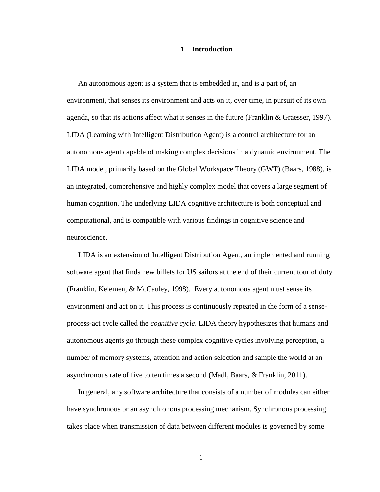#### **1 Introduction**

<span id="page-6-0"></span>An autonomous agent is a system that is embedded in, and is a part of, an environment, that senses its environment and acts on it, over time, in pursuit of its own agenda, so that its actions affect what it senses in the future (Franklin & Graesser, 1997). LIDA (Learning with Intelligent Distribution Agent) is a control architecture for an autonomous agent capable of making complex decisions in a dynamic environment. The LIDA model, primarily based on the Global Workspace Theory (GWT) (Baars, 1988), is an integrated, comprehensive and highly complex model that covers a large segment of human cognition. The underlying LIDA cognitive architecture is both conceptual and computational, and is compatible with various findings in cognitive science and neuroscience.

LIDA is an extension of Intelligent Distribution Agent, an implemented and running software agent that finds new billets for US sailors at the end of their current tour of duty (Franklin, Kelemen, & McCauley, 1998). Every autonomous agent must sense its environment and act on it. This process is continuously repeated in the form of a senseprocess-act cycle called the *cognitive cycle*. LIDA theory hypothesizes that humans and autonomous agents go through these complex cognitive cycles involving perception, a number of memory systems, attention and action selection and sample the world at an asynchronous rate of five to ten times a second (Madl, Baars, & Franklin, 2011).

In general, any software architecture that consists of a number of modules can either have synchronous or an asynchronous processing mechanism. Synchronous processing takes place when transmission of data between different modules is governed by some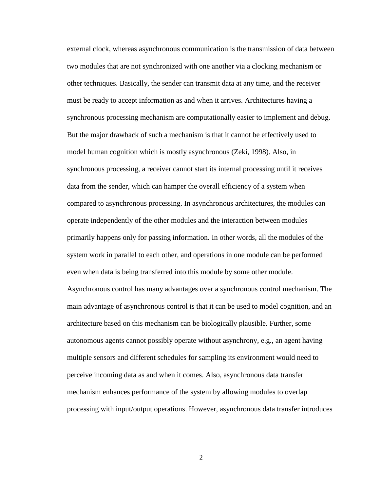external clock, whereas asynchronous communication is the transmission of data between two modules that are not synchronized with one another via a clocking mechanism or other techniques. Basically, the sender can transmit data at any time, and the receiver must be ready to accept information as and when it arrives. Architectures having a synchronous processing mechanism are computationally easier to implement and debug. But the major drawback of such a mechanism is that it cannot be effectively used to model human cognition which is mostly asynchronous (Zeki, 1998). Also, in synchronous processing, a receiver cannot start its internal processing until it receives data from the sender, which can hamper the overall efficiency of a system when compared to asynchronous processing. In asynchronous architectures, the modules can operate independently of the other modules and the interaction between modules primarily happens only for passing information. In other words, all the modules of the system work in parallel to each other, and operations in one module can be performed even when data is being transferred into this module by some other module. Asynchronous control has many advantages over a synchronous control mechanism. The main advantage of asynchronous control is that it can be used to model cognition, and an architecture based on this mechanism can be biologically plausible. Further, some autonomous agents cannot possibly operate without asynchrony, e.g., an agent having multiple sensors and different schedules for sampling its environment would need to perceive incoming data as and when it comes. Also, asynchronous data transfer mechanism enhances performance of the system by allowing modules to overlap processing with input/output operations. However, asynchronous data transfer introduces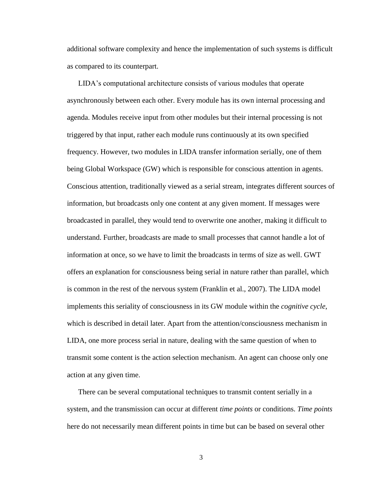additional software complexity and hence the implementation of such systems is difficult as compared to its counterpart.

LIDA"s computational architecture consists of various modules that operate asynchronously between each other. Every module has its own internal processing and agenda. Modules receive input from other modules but their internal processing is not triggered by that input, rather each module runs continuously at its own specified frequency. However, two modules in LIDA transfer information serially, one of them being Global Workspace (GW) which is responsible for conscious attention in agents. Conscious attention, traditionally viewed as a serial stream, integrates different sources of information, but broadcasts only one content at any given moment. If messages were broadcasted in parallel, they would tend to overwrite one another, making it difficult to understand. Further, broadcasts are made to small processes that cannot handle a lot of information at once, so we have to limit the broadcasts in terms of size as well. GWT offers an explanation for consciousness being serial in nature rather than parallel, which is common in the rest of the nervous system (Franklin et al., 2007). The LIDA model implements this seriality of consciousness in its GW module within the *cognitive cycle*, which is described in detail later. Apart from the attention/consciousness mechanism in LIDA, one more process serial in nature, dealing with the same question of when to transmit some content is the action selection mechanism. An agent can choose only one action at any given time.

There can be several computational techniques to transmit content serially in a system, and the transmission can occur at different *time points* or conditions. *Time points* here do not necessarily mean different points in time but can be based on several other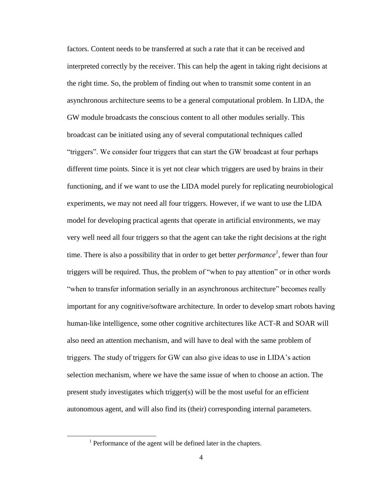factors. Content needs to be transferred at such a rate that it can be received and interpreted correctly by the receiver. This can help the agent in taking right decisions at the right time. So, the problem of finding out when to transmit some content in an asynchronous architecture seems to be a general computational problem. In LIDA, the GW module broadcasts the conscious content to all other modules serially. This broadcast can be initiated using any of several computational techniques called "triggers". We consider four triggers that can start the GW broadcast at four perhaps different time points. Since it is yet not clear which triggers are used by brains in their functioning, and if we want to use the LIDA model purely for replicating neurobiological experiments, we may not need all four triggers. However, if we want to use the LIDA model for developing practical agents that operate in artificial environments, we may very well need all four triggers so that the agent can take the right decisions at the right time. There is also a possibility that in order to get better *performance<sup>1</sup> ,* fewer than four triggers will be required. Thus, the problem of "when to pay attention" or in other words "when to transfer information serially in an asynchronous architecture" becomes really important for any cognitive/software architecture. In order to develop smart robots having human-like intelligence, some other cognitive architectures like ACT-R and SOAR will also need an attention mechanism, and will have to deal with the same problem of triggers. The study of triggers for GW can also give ideas to use in LIDA"s action selection mechanism, where we have the same issue of when to choose an action. The present study investigates which trigger(s) will be the most useful for an efficient autonomous agent, and will also find its (their) corresponding internal parameters.

 $\overline{\phantom{a}}$ 

<sup>&</sup>lt;sup>1</sup> Performance of the agent will be defined later in the chapters.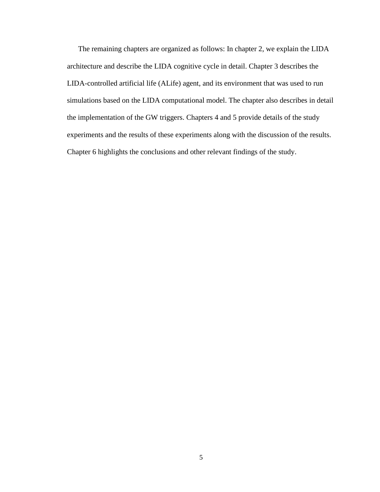The remaining chapters are organized as follows: In chapter 2, we explain the LIDA architecture and describe the LIDA cognitive cycle in detail. Chapter 3 describes the LIDA-controlled artificial life (ALife) agent, and its environment that was used to run simulations based on the LIDA computational model. The chapter also describes in detail the implementation of the GW triggers. Chapters 4 and 5 provide details of the study experiments and the results of these experiments along with the discussion of the results. Chapter 6 highlights the conclusions and other relevant findings of the study.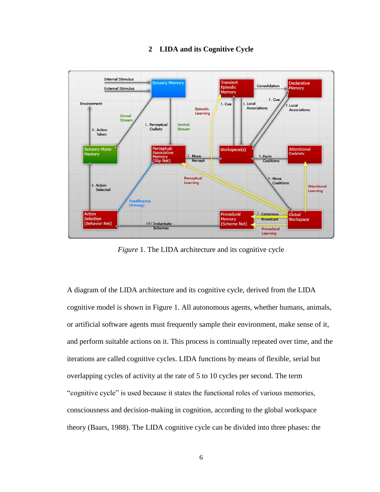### **2 LIDA and its Cognitive Cycle**

<span id="page-11-0"></span>

*Figure* 1. The LIDA architecture and its cognitive cycle

<span id="page-11-1"></span>A diagram of the LIDA architecture and its cognitive cycle, derived from the LIDA cognitive model is shown in Figure 1. All autonomous agents, whether humans, animals, or artificial software agents must frequently sample their environment, make sense of it, and perform suitable actions on it. This process is continually repeated over time, and the iterations are called cognitive cycles. LIDA functions by means of flexible, serial but overlapping cycles of activity at the rate of 5 to 10 cycles per second. The term "cognitive cycle" is used because it states the functional roles of various memories, consciousness and decision-making in cognition, according to the global workspace theory (Baars, 1988). The LIDA cognitive cycle can be divided into three phases: the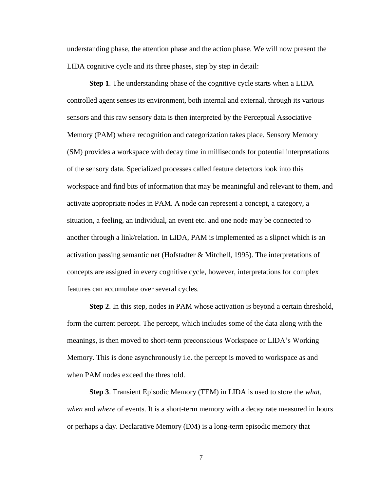understanding phase, the attention phase and the action phase. We will now present the LIDA cognitive cycle and its three phases, step by step in detail:

**Step 1**. The understanding phase of the cognitive cycle starts when a LIDA controlled agent senses its environment, both internal and external, through its various sensors and this raw sensory data is then interpreted by the Perceptual Associative Memory (PAM) where recognition and categorization takes place. Sensory Memory (SM) provides a workspace with decay time in milliseconds for potential interpretations of the sensory data. Specialized processes called feature detectors look into this workspace and find bits of information that may be meaningful and relevant to them, and activate appropriate nodes in PAM. A node can represent a concept, a category, a situation, a feeling, an individual, an event etc. and one node may be connected to another through a link/relation. In LIDA, PAM is implemented as a slipnet which is an activation passing semantic net (Hofstadter & Mitchell, 1995). The interpretations of concepts are assigned in every cognitive cycle, however, interpretations for complex features can accumulate over several cycles.

**Step 2**. In this step, nodes in PAM whose activation is beyond a certain threshold, form the current percept. The percept, which includes some of the data along with the meanings, is then moved to short-term preconscious Workspace or LIDA"s Working Memory. This is done asynchronously i.e. the percept is moved to workspace as and when PAM nodes exceed the threshold.

**Step 3**. Transient Episodic Memory (TEM) in LIDA is used to store the *what*, *when* and *where* of events. It is a short-term memory with a decay rate measured in hours or perhaps a day. Declarative Memory (DM) is a long-term episodic memory that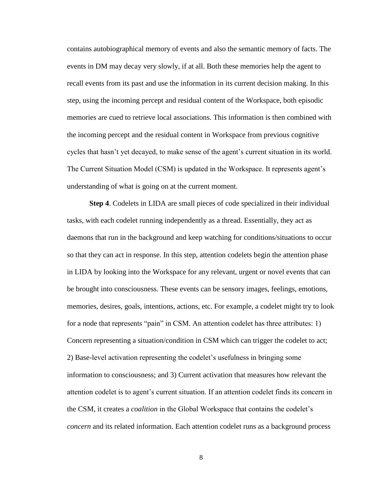contains autobiographical memory of events and also the semantic memory of facts. The events in DM may decay very slowly, if at all. Both these memories help the agent to recall events from its past and use the information in its current decision making. In this step, using the incoming percept and residual content of the Workspace, both episodic memories are cued to retrieve local associations. This information is then combined with the incoming percept and the residual content in Workspace from previous cognitive cycles that hasn"t yet decayed, to make sense of the agent"s current situation in its world. The Current Situation Model (CSM) is updated in the Workspace. It represents agent"s understanding of what is going on at the current moment.

**Step 4**. Codelets in LIDA are small pieces of code specialized in their individual tasks, with each codelet running independently as a thread. Essentially, they act as daemons that run in the background and keep watching for conditions/situations to occur so that they can act in response. In this step, attention codelets begin the attention phase in LIDA by looking into the Workspace for any relevant, urgent or novel events that can be brought into consciousness. These events can be sensory images, feelings, emotions, memories, desires, goals, intentions, actions, etc. For example, a codelet might try to look for a node that represents "pain" in CSM. An attention codelet has three attributes: 1) Concern representing a situation/condition in CSM which can trigger the codelet to act; 2) Base-level activation representing the codelet"s usefulness in bringing some information to consciousness; and 3) Current activation that measures how relevant the attention codelet is to agent"s current situation. If an attention codelet finds its concern in the CSM, it creates a *coalition* in the Global Workspace that contains the codelet"s *concern* and its related information. Each attention codelet runs as a background process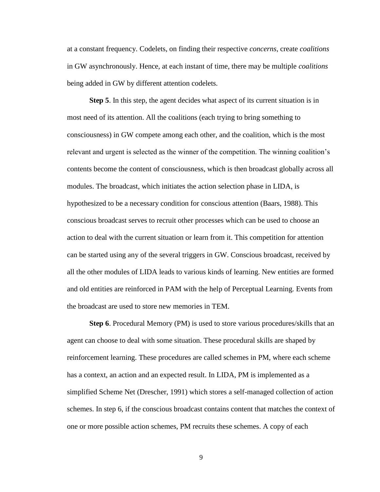at a constant frequency. Codelets, on finding their respective *concerns*, create *coalitions* in GW asynchronously. Hence, at each instant of time, there may be multiple *coalitions* being added in GW by different attention codelets.

**Step 5**. In this step, the agent decides what aspect of its current situation is in most need of its attention. All the coalitions (each trying to bring something to consciousness) in GW compete among each other, and the coalition, which is the most relevant and urgent is selected as the winner of the competition. The winning coalition"s contents become the content of consciousness, which is then broadcast globally across all modules. The broadcast, which initiates the action selection phase in LIDA, is hypothesized to be a necessary condition for conscious attention (Baars, 1988). This conscious broadcast serves to recruit other processes which can be used to choose an action to deal with the current situation or learn from it. This competition for attention can be started using any of the several triggers in GW. Conscious broadcast, received by all the other modules of LIDA leads to various kinds of learning. New entities are formed and old entities are reinforced in PAM with the help of Perceptual Learning. Events from the broadcast are used to store new memories in TEM.

**Step 6.** Procedural Memory (PM) is used to store various procedures/skills that an agent can choose to deal with some situation. These procedural skills are shaped by reinforcement learning. These procedures are called schemes in PM, where each scheme has a context, an action and an expected result. In LIDA, PM is implemented as a simplified Scheme Net (Drescher, 1991) which stores a self-managed collection of action schemes. In step 6, if the conscious broadcast contains content that matches the context of one or more possible action schemes, PM recruits these schemes. A copy of each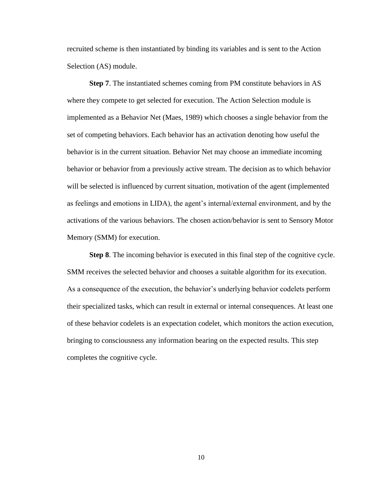recruited scheme is then instantiated by binding its variables and is sent to the Action Selection (AS) module.

**Step 7**. The instantiated schemes coming from PM constitute behaviors in AS where they compete to get selected for execution. The Action Selection module is implemented as a Behavior Net (Maes, 1989) which chooses a single behavior from the set of competing behaviors. Each behavior has an activation denoting how useful the behavior is in the current situation. Behavior Net may choose an immediate incoming behavior or behavior from a previously active stream. The decision as to which behavior will be selected is influenced by current situation, motivation of the agent (implemented as feelings and emotions in LIDA), the agent"s internal/external environment, and by the activations of the various behaviors. The chosen action/behavior is sent to Sensory Motor Memory (SMM) for execution.

**Step 8.** The incoming behavior is executed in this final step of the cognitive cycle. SMM receives the selected behavior and chooses a suitable algorithm for its execution. As a consequence of the execution, the behavior's underlying behavior codelets perform their specialized tasks, which can result in external or internal consequences. At least one of these behavior codelets is an expectation codelet, which monitors the action execution, bringing to consciousness any information bearing on the expected results. This step completes the cognitive cycle.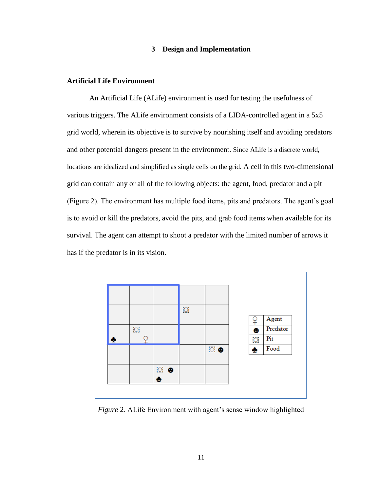#### **3 Design and Implementation**

#### <span id="page-16-1"></span><span id="page-16-0"></span>**Artificial Life Environment**

An Artificial Life (ALife) environment is used for testing the usefulness of various triggers. The ALife environment consists of a LIDA-controlled agent in a 5x5 grid world, wherein its objective is to survive by nourishing itself and avoiding predators and other potential dangers present in the environment. Since ALife is a discrete world, locations are idealized and simplified as single cells on the grid. A cell in this two-dimensional grid can contain any or all of the following objects: the agent, food, predator and a pit (Figure 2). The environment has multiple food items, pits and predators. The agent"s goal is to avoid or kill the predators, avoid the pits, and grab food items when available for its survival. The agent can attempt to shoot a predator with the limited number of arrows it has if the predator is in its vision.



<span id="page-16-2"></span>*Figure 2.* ALife Environment with agent's sense window highlighted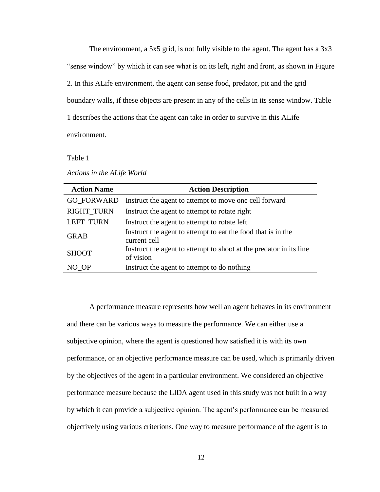The environment, a 5x5 grid, is not fully visible to the agent. The agent has a 3x3 "sense window" by which it can see what is on its left, right and front, as shown in Figure 2. In this ALife environment, the agent can sense food, predator, pit and the grid boundary walls, if these objects are present in any of the cells in its sense window. Table 1 describes the actions that the agent can take in order to survive in this ALife environment.

Table 1

| Actions in the ALife World |  |  |  |  |  |
|----------------------------|--|--|--|--|--|
|----------------------------|--|--|--|--|--|

| <b>Action Name</b> | <b>Action Description</b>                                                       |
|--------------------|---------------------------------------------------------------------------------|
| <b>GO FORWARD</b>  | Instruct the agent to attempt to move one cell forward                          |
| <b>RIGHT TURN</b>  | Instruct the agent to attempt to rotate right                                   |
| <b>LEFT TURN</b>   | Instruct the agent to attempt to rotate left                                    |
| <b>GRAB</b>        | Instruct the agent to attempt to eat the food that is in the<br>current cell    |
| <b>SHOOT</b>       | Instruct the agent to attempt to shoot at the predator in its line<br>of vision |
| NO OP              | Instruct the agent to attempt to do nothing                                     |

A performance measure represents how well an agent behaves in its environment and there can be various ways to measure the performance. We can either use a subjective opinion, where the agent is questioned how satisfied it is with its own performance, or an objective performance measure can be used, which is primarily driven by the objectives of the agent in a particular environment. We considered an objective performance measure because the LIDA agent used in this study was not built in a way by which it can provide a subjective opinion. The agent's performance can be measured objectively using various criterions. One way to measure performance of the agent is to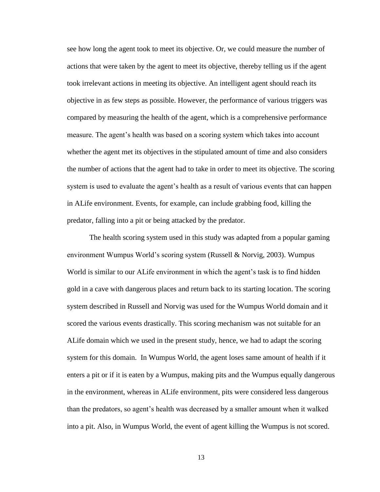see how long the agent took to meet its objective. Or, we could measure the number of actions that were taken by the agent to meet its objective, thereby telling us if the agent took irrelevant actions in meeting its objective. An intelligent agent should reach its objective in as few steps as possible. However, the performance of various triggers was compared by measuring the health of the agent, which is a comprehensive performance measure. The agent's health was based on a scoring system which takes into account whether the agent met its objectives in the stipulated amount of time and also considers the number of actions that the agent had to take in order to meet its objective. The scoring system is used to evaluate the agent's health as a result of various events that can happen in ALife environment. Events, for example, can include grabbing food, killing the predator, falling into a pit or being attacked by the predator.

The health scoring system used in this study was adapted from a popular gaming environment Wumpus World"s scoring system (Russell & Norvig, 2003). Wumpus World is similar to our ALife environment in which the agent"s task is to find hidden gold in a cave with dangerous places and return back to its starting location. The scoring system described in Russell and Norvig was used for the Wumpus World domain and it scored the various events drastically. This scoring mechanism was not suitable for an ALife domain which we used in the present study, hence, we had to adapt the scoring system for this domain. In Wumpus World, the agent loses same amount of health if it enters a pit or if it is eaten by a Wumpus, making pits and the Wumpus equally dangerous in the environment, whereas in ALife environment, pits were considered less dangerous than the predators, so agent"s health was decreased by a smaller amount when it walked into a pit. Also, in Wumpus World, the event of agent killing the Wumpus is not scored.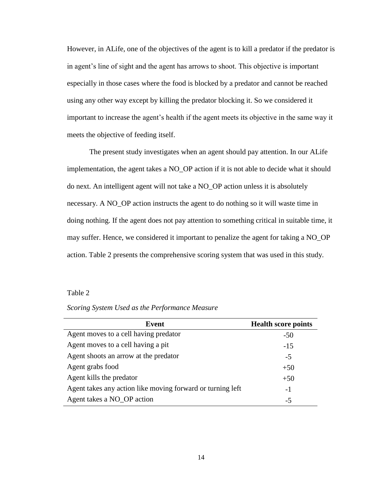However, in ALife, one of the objectives of the agent is to kill a predator if the predator is in agent's line of sight and the agent has arrows to shoot. This objective is important especially in those cases where the food is blocked by a predator and cannot be reached using any other way except by killing the predator blocking it. So we considered it important to increase the agent"s health if the agent meets its objective in the same way it meets the objective of feeding itself.

The present study investigates when an agent should pay attention. In our ALife implementation, the agent takes a NO\_OP action if it is not able to decide what it should do next. An intelligent agent will not take a NO\_OP action unless it is absolutely necessary. A NO\_OP action instructs the agent to do nothing so it will waste time in doing nothing. If the agent does not pay attention to something critical in suitable time, it may suffer. Hence, we considered it important to penalize the agent for taking a NO\_OP action. Table 2 presents the comprehensive scoring system that was used in this study.

#### Table 2

| Event                                                      | <b>Health score points</b> |
|------------------------------------------------------------|----------------------------|
| Agent moves to a cell having predator                      | $-50$                      |
| Agent moves to a cell having a pit                         | $-15$                      |
| Agent shoots an arrow at the predator                      | $-5$                       |
| Agent grabs food                                           | $+50$                      |
| Agent kills the predator                                   | $+50$                      |
| Agent takes any action like moving forward or turning left | $-1$                       |
| Agent takes a NO_OP action                                 | -5                         |

*Scoring System Used as the Performance Measure*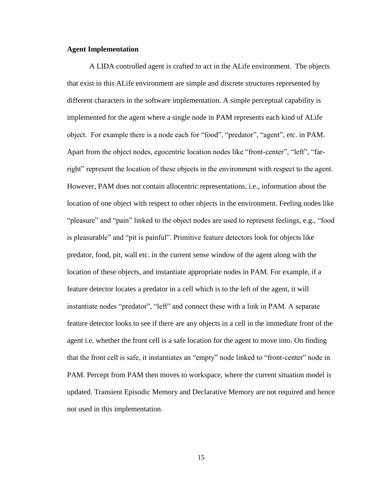#### <span id="page-20-0"></span>**Agent Implementation**

A LIDA controlled agent is crafted to act in the ALife environment. The objects that exist in this ALife environment are simple and discrete structures represented by different characters in the software implementation. A simple perceptual capability is implemented for the agent where a single node in PAM represents each kind of ALife object. For example there is a node each for "food", "predator", "agent", etc. in PAM. Apart from the object nodes, egocentric location nodes like "front-center", "left", "farright" represent the location of these objects in the environment with respect to the agent. However, PAM does not contain allocentric representations, i.e., information about the location of one object with respect to other objects in the environment. Feeling nodes like "pleasure" and "pain" linked to the object nodes are used to represent feelings, e.g., "food is pleasurable" and "pit is painful". Primitive feature detectors look for objects like predator, food, pit, wall etc. in the current sense window of the agent along with the location of these objects, and instantiate appropriate nodes in PAM. For example, if a feature detector locates a predator in a cell which is to the left of the agent, it will instantiate nodes "predator", "left" and connect these with a link in PAM. A separate feature detector looks to see if there are any objects in a cell in the immediate front of the agent i.e. whether the front cell is a safe location for the agent to move into. On finding that the front cell is safe, it instantiates an "empty" node linked to "front-center" node in PAM. Percept from PAM then moves to workspace, where the current situation model is updated. Transient Episodic Memory and Declarative Memory are not required and hence not used in this implementation.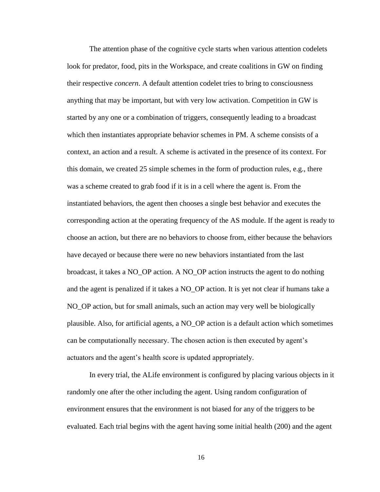The attention phase of the cognitive cycle starts when various attention codelets look for predator, food, pits in the Workspace, and create coalitions in GW on finding their respective *concern*. A default attention codelet tries to bring to consciousness anything that may be important, but with very low activation. Competition in GW is started by any one or a combination of triggers, consequently leading to a broadcast which then instantiates appropriate behavior schemes in PM. A scheme consists of a context, an action and a result. A scheme is activated in the presence of its context. For this domain, we created 25 simple schemes in the form of production rules, e.g., there was a scheme created to grab food if it is in a cell where the agent is. From the instantiated behaviors, the agent then chooses a single best behavior and executes the corresponding action at the operating frequency of the AS module. If the agent is ready to choose an action, but there are no behaviors to choose from, either because the behaviors have decayed or because there were no new behaviors instantiated from the last broadcast, it takes a NO\_OP action. A NO\_OP action instructs the agent to do nothing and the agent is penalized if it takes a NO\_OP action. It is yet not clear if humans take a NO\_OP action, but for small animals, such an action may very well be biologically plausible. Also, for artificial agents, a NO\_OP action is a default action which sometimes can be computationally necessary. The chosen action is then executed by agent"s actuators and the agent"s health score is updated appropriately.

In every trial, the ALife environment is configured by placing various objects in it randomly one after the other including the agent. Using random configuration of environment ensures that the environment is not biased for any of the triggers to be evaluated. Each trial begins with the agent having some initial health (200) and the agent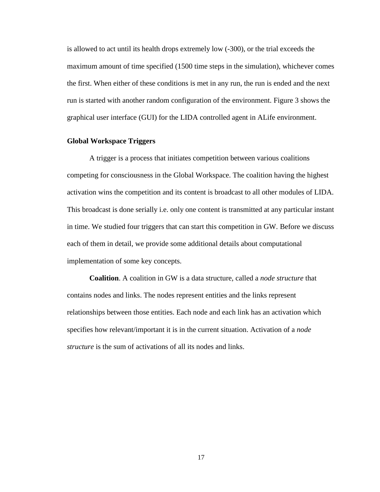is allowed to act until its health drops extremely low (-300), or the trial exceeds the maximum amount of time specified (1500 time steps in the simulation), whichever comes the first. When either of these conditions is met in any run, the run is ended and the next run is started with another random configuration of the environment. Figure 3 shows the graphical user interface (GUI) for the LIDA controlled agent in ALife environment.

#### <span id="page-22-0"></span>**Global Workspace Triggers**

A trigger is a process that initiates competition between various coalitions competing for consciousness in the Global Workspace. The coalition having the highest activation wins the competition and its content is broadcast to all other modules of LIDA. This broadcast is done serially i.e. only one content is transmitted at any particular instant in time. We studied four triggers that can start this competition in GW. Before we discuss each of them in detail, we provide some additional details about computational implementation of some key concepts.

**Coalition**. A coalition in GW is a data structure, called a *node structure* that contains nodes and links. The nodes represent entities and the links represent relationships between those entities. Each node and each link has an activation which specifies how relevant/important it is in the current situation. Activation of a *node structure* is the sum of activations of all its nodes and links.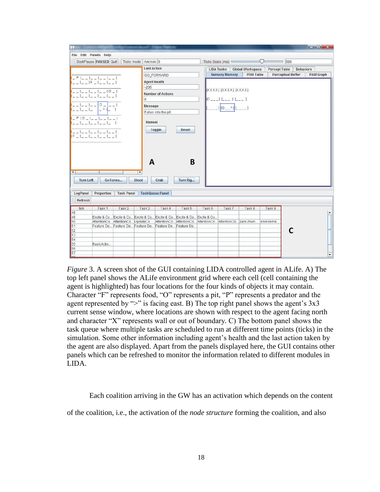| File Edit Panels Help                  |                    |                   |                       |                                                                                     |              |        |                                                                                          |                         |           |                          |                  |                  |
|----------------------------------------|--------------------|-------------------|-----------------------|-------------------------------------------------------------------------------------|--------------|--------|------------------------------------------------------------------------------------------|-------------------------|-----------|--------------------------|------------------|------------------|
| Start/Pause PAUSED Quit                |                    | Ticks mode        | Add ticks 0           |                                                                                     |              |        | Ticks Scale (ms)                                                                         |                         | ∪         | 586                      |                  |                  |
|                                        |                    |                   | <b>Last Action</b>    |                                                                                     |              |        | <b>LIDA Tasks</b>                                                                        | <b>Global Workspace</b> |           | <b>Percept Table</b>     | <b>Behaviors</b> |                  |
|                                        |                    |                   |                       | <b>GO FORWARD</b>                                                                   |              |        | <b>Sensory Memory</b>                                                                    | <b>PAM Table</b>        |           | <b>Perceptual Buffer</b> |                  | <b>PAM Graph</b> |
| $-$ P<br> F                            |                    |                   | <b>Agent Health</b>   |                                                                                     |              |        |                                                                                          |                         |           |                          |                  |                  |
|                                        |                    |                   |                       |                                                                                     |              |        |                                                                                          |                         |           |                          |                  |                  |
| $-206$                                 |                    |                   |                       |                                                                                     |              |        | [XXXX] [XXXX] [XXXX]                                                                     |                         |           |                          |                  |                  |
|                                        |                    |                   |                       | <b>Number of Actions</b>                                                            |              |        |                                                                                          |                         |           |                          |                  |                  |
|                                        |                    |                   | $\overline{8}$        |                                                                                     |              |        | $[0_{---}]$ $[0_{---}]$ $[0_{---}]$                                                      |                         |           |                          |                  |                  |
|                                        | $\circ$<br>$\,>\,$ |                   | Message               |                                                                                     |              |        | $1[0 - 1]$ $[- -1]$                                                                      |                         |           |                          |                  |                  |
|                                        |                    |                   |                       | Fallen into the pit                                                                 |              |        |                                                                                          |                         |           |                          |                  |                  |
| P 0                                    |                    |                   |                       |                                                                                     |              |        |                                                                                          |                         |           |                          |                  |                  |
|                                        |                    |                   | <b>Manual</b>         |                                                                                     |              |        |                                                                                          |                         |           |                          |                  |                  |
|                                        |                    |                   |                       | Toggle                                                                              | <b>Reset</b> |        |                                                                                          |                         |           |                          |                  |                  |
|                                        |                    |                   |                       |                                                                                     |              |        |                                                                                          |                         |           |                          |                  |                  |
| F                                      |                    |                   |                       |                                                                                     |              |        |                                                                                          |                         |           |                          |                  |                  |
|                                        |                    |                   |                       |                                                                                     |              |        |                                                                                          |                         |           |                          |                  |                  |
|                                        |                    |                   |                       |                                                                                     |              |        |                                                                                          |                         |           |                          |                  |                  |
|                                        |                    |                   |                       |                                                                                     |              |        |                                                                                          |                         |           |                          |                  |                  |
|                                        |                    |                   |                       |                                                                                     |              |        |                                                                                          |                         |           |                          |                  |                  |
|                                        |                    |                   |                       |                                                                                     |              |        |                                                                                          |                         |           |                          |                  |                  |
|                                        |                    |                   | A                     |                                                                                     | B            |        |                                                                                          |                         |           |                          |                  |                  |
|                                        |                    |                   |                       |                                                                                     |              |        |                                                                                          |                         |           |                          |                  |                  |
| $\mathbb{I}$                           |                    |                   | $\blacktriangleright$ |                                                                                     |              |        |                                                                                          |                         |           |                          |                  |                  |
| <b>Turn Left</b>                       | Go Forwa           |                   | Shoot                 | Grab                                                                                | Turn Rig     |        |                                                                                          |                         |           |                          |                  |                  |
|                                        |                    |                   |                       |                                                                                     |              |        |                                                                                          |                         |           |                          |                  |                  |
|                                        |                    |                   |                       |                                                                                     |              |        |                                                                                          |                         |           |                          |                  |                  |
| LogPanel                               | Properties         | <b>Task Panel</b> |                       | <b>TaskQueue Panel</b>                                                              |              |        |                                                                                          |                         |           |                          |                  |                  |
| <b>Refresh</b>                         |                    |                   |                       |                                                                                     |              |        |                                                                                          |                         |           |                          |                  |                  |
| $\blacksquare$<br>tick                 | Task <sub>1</sub>  | Task <sub>2</sub> | Task <sub>3</sub>     | Task 4                                                                              | Task 5       | Task 6 | Task7                                                                                    | Task 8                  | Task 9    |                          |                  |                  |
|                                        |                    |                   |                       |                                                                                     |              |        |                                                                                          |                         |           |                          |                  |                  |
|                                        |                    |                   |                       | Excite & Co., Excite & Co., Excite & Co., Excite & Co., Excite & Co., Excite & Co., |              |        |                                                                                          |                         |           |                          |                  |                  |
|                                        |                    |                   |                       |                                                                                     |              |        | AttentionCo AttentionCo UpdateCs AttentionCo AttentionCo AttentionCo AttentionCo pam.Wum |                         | environme |                          |                  |                  |
|                                        |                    |                   |                       | Feature De Feature De Feature De Feature De Feature De                              |              |        |                                                                                          |                         |           |                          |                  |                  |
|                                        |                    |                   |                       |                                                                                     |              |        |                                                                                          |                         |           |                          |                  |                  |
| 48<br>49<br>50<br>51<br>52<br>53<br>54 |                    |                   |                       |                                                                                     |              |        |                                                                                          |                         |           |                          |                  |                  |
| 55                                     | BasicActio         |                   |                       |                                                                                     |              |        |                                                                                          |                         |           |                          |                  |                  |
| 56<br>57                               |                    |                   |                       |                                                                                     |              |        |                                                                                          |                         |           |                          |                  |                  |

<span id="page-23-0"></span>*Figure* 3. A screen shot of the GUI containing LIDA controlled agent in ALife. A) The top left panel shows the ALife environment grid where each cell (cell containing the agent is highlighted) has four locations for the four kinds of objects it may contain. Character "F" represents food, "O" represents a pit, "P" represents a predator and the agent represented by " $>$ " is facing east. B) The top right panel shows the agent's  $3x3$ current sense window, where locations are shown with respect to the agent facing north and character "X" represents wall or out of boundary. C) The bottom panel shows the task queue where multiple tasks are scheduled to run at different time points (ticks) in the simulation. Some other information including agent"s health and the last action taken by the agent are also displayed. Apart from the panels displayed here, the GUI contains other panels which can be refreshed to monitor the information related to different modules in LIDA.

Each coalition arriving in the GW has an activation which depends on the content

of the coalition, i.e., the activation of the *node structure* forming the coalition, and also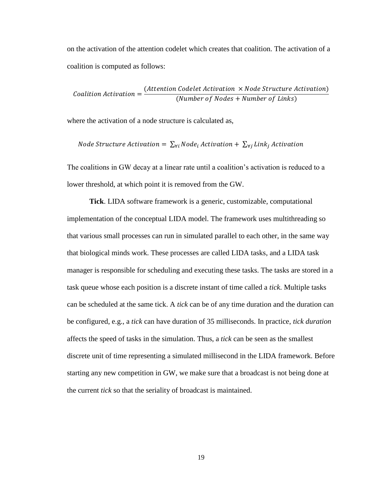on the activation of the attention codelet which creates that coalition. The activation of a coalition is computed as follows:

**Condition** *Action* = 
$$
\frac{(Attention\,Codelet\, Activation \times Node\,Structure\,Action)}{(Number\,of\,Nodes + Number\,of\,Links)}
$$

where the activation of a node structure is calculated as,

$$
Node Structure\, activation = \sum_{\forall i} Node_i\, Action + \sum_{\forall j} Link_j\, Activation
$$

The coalitions in GW decay at a linear rate until a coalition"s activation is reduced to a lower threshold, at which point it is removed from the GW.

**Tick**. LIDA software framework is a generic, customizable, computational implementation of the conceptual LIDA model. The framework uses multithreading so that various small processes can run in simulated parallel to each other, in the same way that biological minds work. These processes are called LIDA tasks, and a LIDA task manager is responsible for scheduling and executing these tasks. The tasks are stored in a task queue whose each position is a discrete instant of time called a *tick*. Multiple tasks can be scheduled at the same tick. A *tick* can be of any time duration and the duration can be configured, e.g., a *tick* can have duration of 35 milliseconds. In practice, *tick duration*  affects the speed of tasks in the simulation. Thus, a *tick* can be seen as the smallest discrete unit of time representing a simulated millisecond in the LIDA framework. Before starting any new competition in GW, we make sure that a broadcast is not being done at the current *tick* so that the seriality of broadcast is maintained.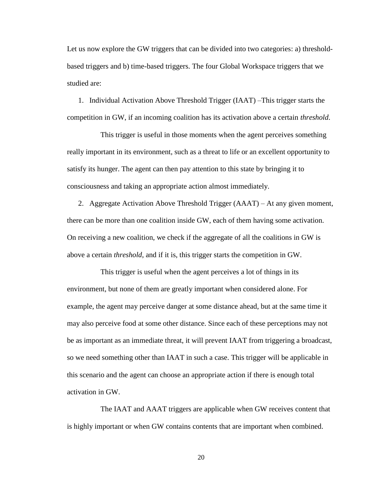Let us now explore the GW triggers that can be divided into two categories: a) thresholdbased triggers and b) time-based triggers. The four Global Workspace triggers that we studied are:

1. Individual Activation Above Threshold Trigger (IAAT) –This trigger starts the competition in GW, if an incoming coalition has its activation above a certain *threshold*.

This trigger is useful in those moments when the agent perceives something really important in its environment, such as a threat to life or an excellent opportunity to satisfy its hunger. The agent can then pay attention to this state by bringing it to consciousness and taking an appropriate action almost immediately.

2. Aggregate Activation Above Threshold Trigger (AAAT) – At any given moment, there can be more than one coalition inside GW, each of them having some activation. On receiving a new coalition, we check if the aggregate of all the coalitions in GW is above a certain *threshold*, and if it is, this trigger starts the competition in GW.

This trigger is useful when the agent perceives a lot of things in its environment, but none of them are greatly important when considered alone. For example, the agent may perceive danger at some distance ahead, but at the same time it may also perceive food at some other distance. Since each of these perceptions may not be as important as an immediate threat, it will prevent IAAT from triggering a broadcast, so we need something other than IAAT in such a case. This trigger will be applicable in this scenario and the agent can choose an appropriate action if there is enough total activation in GW.

The IAAT and AAAT triggers are applicable when GW receives content that is highly important or when GW contains contents that are important when combined.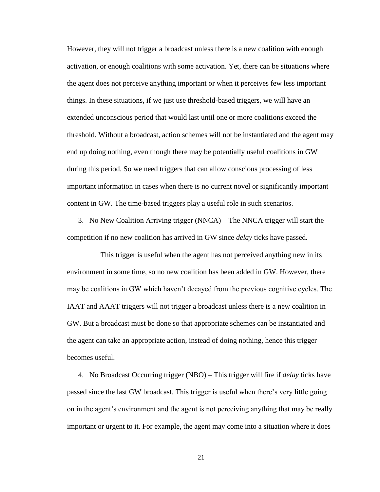However, they will not trigger a broadcast unless there is a new coalition with enough activation, or enough coalitions with some activation. Yet, there can be situations where the agent does not perceive anything important or when it perceives few less important things. In these situations, if we just use threshold-based triggers, we will have an extended unconscious period that would last until one or more coalitions exceed the threshold. Without a broadcast, action schemes will not be instantiated and the agent may end up doing nothing, even though there may be potentially useful coalitions in GW during this period. So we need triggers that can allow conscious processing of less important information in cases when there is no current novel or significantly important content in GW. The time-based triggers play a useful role in such scenarios.

3. No New Coalition Arriving trigger (NNCA) – The NNCA trigger will start the competition if no new coalition has arrived in GW since *delay* ticks have passed.

This trigger is useful when the agent has not perceived anything new in its environment in some time, so no new coalition has been added in GW. However, there may be coalitions in GW which haven"t decayed from the previous cognitive cycles. The IAAT and AAAT triggers will not trigger a broadcast unless there is a new coalition in GW. But a broadcast must be done so that appropriate schemes can be instantiated and the agent can take an appropriate action, instead of doing nothing, hence this trigger becomes useful.

4. No Broadcast Occurring trigger (NBO) – This trigger will fire if *delay* ticks have passed since the last GW broadcast. This trigger is useful when there"s very little going on in the agent"s environment and the agent is not perceiving anything that may be really important or urgent to it. For example, the agent may come into a situation where it does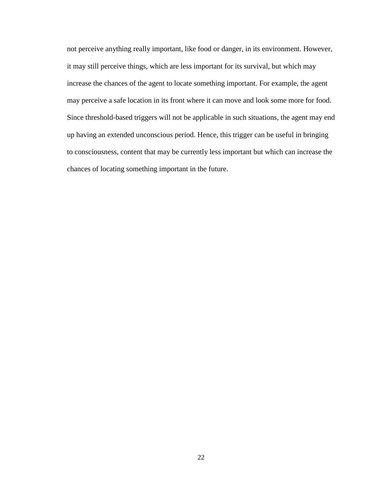not perceive anything really important, like food or danger, in its environment. However, it may still perceive things, which are less important for its survival, but which may increase the chances of the agent to locate something important. For example, the agent may perceive a safe location in its front where it can move and look some more for food. Since threshold-based triggers will not be applicable in such situations, the agent may end up having an extended unconscious period. Hence, this trigger can be useful in bringing to consciousness, content that may be currently less important but which can increase the chances of locating something important in the future.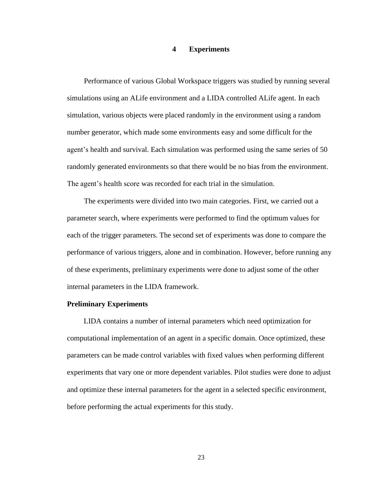#### **4 Experiments**

<span id="page-28-0"></span>Performance of various Global Workspace triggers was studied by running several simulations using an ALife environment and a LIDA controlled ALife agent. In each simulation, various objects were placed randomly in the environment using a random number generator, which made some environments easy and some difficult for the agent's health and survival. Each simulation was performed using the same series of 50 randomly generated environments so that there would be no bias from the environment. The agent's health score was recorded for each trial in the simulation.

The experiments were divided into two main categories. First, we carried out a parameter search, where experiments were performed to find the optimum values for each of the trigger parameters. The second set of experiments was done to compare the performance of various triggers, alone and in combination. However, before running any of these experiments, preliminary experiments were done to adjust some of the other internal parameters in the LIDA framework.

#### **Preliminary Experiments**

LIDA contains a number of internal parameters which need optimization for computational implementation of an agent in a specific domain. Once optimized, these parameters can be made control variables with fixed values when performing different experiments that vary one or more dependent variables. Pilot studies were done to adjust and optimize these internal parameters for the agent in a selected specific environment, before performing the actual experiments for this study.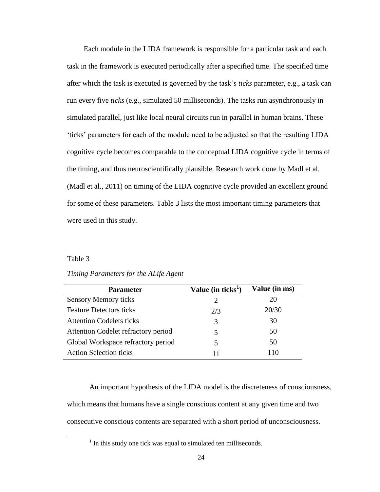Each module in the LIDA framework is responsible for a particular task and each task in the framework is executed periodically after a specified time. The specified time after which the task is executed is governed by the task"s *ticks* parameter, e.g., a task can run every five *ticks* (e.g., simulated 50 milliseconds). The tasks run asynchronously in simulated parallel, just like local neural circuits run in parallel in human brains. These "ticks" parameters for each of the module need to be adjusted so that the resulting LIDA cognitive cycle becomes comparable to the conceptual LIDA cognitive cycle in terms of the timing, and thus neuroscientifically plausible. Research work done by Madl et al. (Madl et al., 2011) on timing of the LIDA cognitive cycle provided an excellent ground for some of these parameters. Table 3 lists the most important timing parameters that were used in this study.

#### Table 3

 $\overline{\phantom{a}}$ 

| <b>Parameter</b>                    | Value (in ticks <sup>1</sup> ) | Value (in ms) |
|-------------------------------------|--------------------------------|---------------|
| <b>Sensory Memory ticks</b>         |                                | 20            |
| <b>Feature Detectors ticks</b>      | 2/3                            | 20/30         |
| <b>Attention Codelets ticks</b>     | 3                              | 30            |
| Attention Codelet refractory period |                                | 50            |
| Global Workspace refractory period  |                                | 50            |
| <b>Action Selection ticks</b>       | 11                             | 110           |

#### *Timing Parameters for the ALife Agent*

An important hypothesis of the LIDA model is the discreteness of consciousness, which means that humans have a single conscious content at any given time and two consecutive conscious contents are separated with a short period of unconsciousness.

<sup>&</sup>lt;sup>1</sup> In this study one tick was equal to simulated ten milliseconds.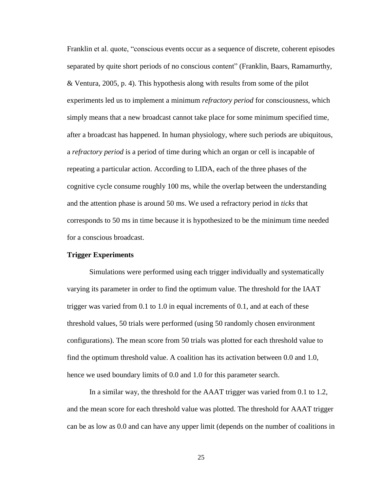Franklin et al. quote, "conscious events occur as a sequence of discrete, coherent episodes separated by quite short periods of no conscious content" (Franklin, Baars, Ramamurthy, & Ventura, 2005, p. 4). This hypothesis along with results from some of the pilot experiments led us to implement a minimum *refractory period* for consciousness, which simply means that a new broadcast cannot take place for some minimum specified time, after a broadcast has happened. In human physiology, where such periods are ubiquitous, a *refractory period* is a period of time during which an organ or cell is incapable of repeating a particular action. According to LIDA, each of the three phases of the cognitive cycle consume roughly 100 ms, while the overlap between the understanding and the attention phase is around 50 ms. We used a refractory period in *ticks* that corresponds to 50 ms in time because it is hypothesized to be the minimum time needed for a conscious broadcast.

#### **Trigger Experiments**

Simulations were performed using each trigger individually and systematically varying its parameter in order to find the optimum value. The threshold for the IAAT trigger was varied from 0.1 to 1.0 in equal increments of 0.1, and at each of these threshold values, 50 trials were performed (using 50 randomly chosen environment configurations). The mean score from 50 trials was plotted for each threshold value to find the optimum threshold value. A coalition has its activation between 0.0 and 1.0, hence we used boundary limits of 0.0 and 1.0 for this parameter search.

In a similar way, the threshold for the AAAT trigger was varied from 0.1 to 1.2, and the mean score for each threshold value was plotted. The threshold for AAAT trigger can be as low as 0.0 and can have any upper limit (depends on the number of coalitions in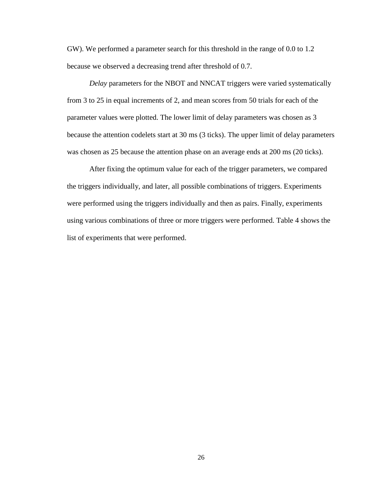GW). We performed a parameter search for this threshold in the range of 0.0 to 1.2 because we observed a decreasing trend after threshold of 0.7.

*Delay* parameters for the NBOT and NNCAT triggers were varied systematically from 3 to 25 in equal increments of 2, and mean scores from 50 trials for each of the parameter values were plotted. The lower limit of delay parameters was chosen as 3 because the attention codelets start at 30 ms (3 ticks). The upper limit of delay parameters was chosen as 25 because the attention phase on an average ends at 200 ms (20 ticks).

After fixing the optimum value for each of the trigger parameters, we compared the triggers individually, and later, all possible combinations of triggers. Experiments were performed using the triggers individually and then as pairs. Finally, experiments using various combinations of three or more triggers were performed. Table 4 shows the list of experiments that were performed.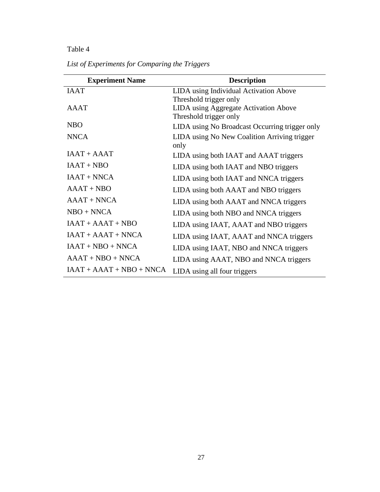## Table 4

| <b>Experiment Name</b>     | <b>Description</b>                                              |
|----------------------------|-----------------------------------------------------------------|
| <b>IAAT</b>                | LIDA using Individual Activation Above                          |
|                            | Threshold trigger only                                          |
| A AAT                      | LIDA using Aggregate Activation Above<br>Threshold trigger only |
| <b>NBO</b>                 | LIDA using No Broadcast Occurring trigger only                  |
| <b>NNCA</b>                | LIDA using No New Coalition Arriving trigger<br>only            |
| $IAAT + AAAT$              | LIDA using both IAAT and AAAT triggers                          |
| $IAAT + NBO$               | LIDA using both IAAT and NBO triggers                           |
| $IAAT + NNCA$              | LIDA using both IAAT and NNCA triggers                          |
| $AAAT + NBO$               | LIDA using both AAAT and NBO triggers                           |
| $AAAT + NNCA$              | LIDA using both AAAT and NNCA triggers                          |
| $NBO + NNCA$               | LIDA using both NBO and NNCA triggers                           |
| $IAAT + AAAT + NBO$        | LIDA using IAAT, AAAT and NBO triggers                          |
| $IAAT + AAAT + NNCA$       | LIDA using IAAT, AAAT and NNCA triggers                         |
| $IAAT + NBO + NNCA$        | LIDA using IAAT, NBO and NNCA triggers                          |
| $AAAT + NBO + NNCA$        | LIDA using AAAT, NBO and NNCA triggers                          |
| $IAAT + AAAT + NBO + NNCA$ | LIDA using all four triggers                                    |

*List of Experiments for Comparing the Triggers*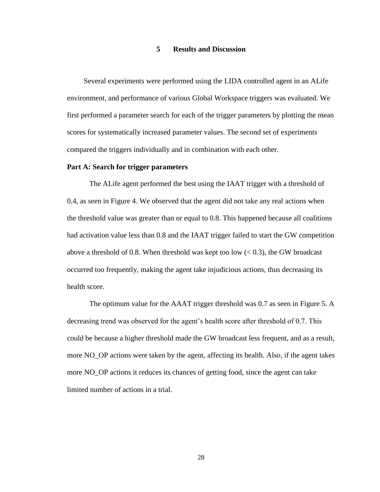#### **5 Results and Discussion**

<span id="page-33-0"></span>Several experiments were performed using the LIDA controlled agent in an ALife environment, and performance of various Global Workspace triggers was evaluated. We first performed a parameter search for each of the trigger parameters by plotting the mean scores for systematically increased parameter values. The second set of experiments compared the triggers individually and in combination with each other.

#### **Part A: Search for trigger parameters**

The ALife agent performed the best using the IAAT trigger with a threshold of 0.4, as seen in Figure 4. We observed that the agent did not take any real actions when the threshold value was greater than or equal to 0.8. This happened because all coalitions had activation value less than 0.8 and the IAAT trigger failed to start the GW competition above a threshold of 0.8. When threshold was kept too low  $(< 0.3$ ), the GW broadcast occurred too frequently, making the agent take injudicious actions, thus decreasing its health score.

The optimum value for the AAAT trigger threshold was 0.7 as seen in Figure 5. A decreasing trend was observed for the agent's health score after threshold of 0.7. This could be because a higher threshold made the GW broadcast less frequent, and as a result, more NO\_OP actions were taken by the agent, affecting its health. Also, if the agent takes more NO\_OP actions it reduces its chances of getting food, since the agent can take limited number of actions in a trial.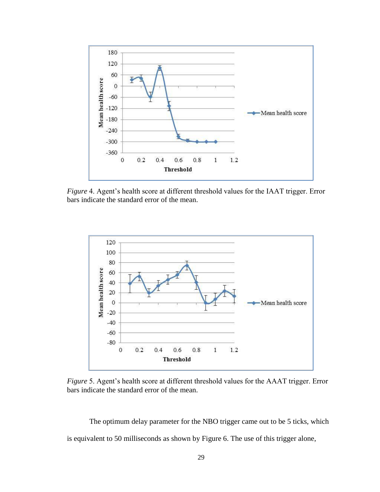

<span id="page-34-0"></span>*Figure* 4. Agent's health score at different threshold values for the IAAT trigger. Error bars indicate the standard error of the mean.



<span id="page-34-1"></span>*Figure* 5. Agent's health score at different threshold values for the AAAT trigger. Error bars indicate the standard error of the mean.

The optimum delay parameter for the NBO trigger came out to be 5 ticks, which is equivalent to 50 milliseconds as shown by Figure 6. The use of this trigger alone,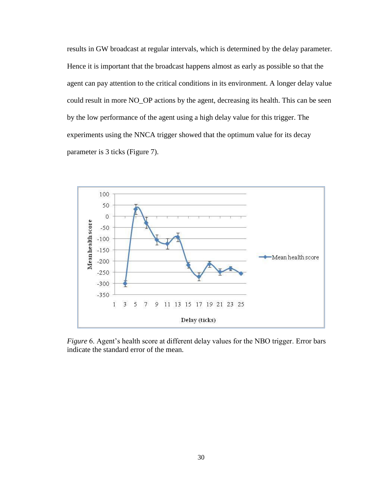results in GW broadcast at regular intervals, which is determined by the delay parameter. Hence it is important that the broadcast happens almost as early as possible so that the agent can pay attention to the critical conditions in its environment. A longer delay value could result in more NO\_OP actions by the agent, decreasing its health. This can be seen by the low performance of the agent using a high delay value for this trigger. The experiments using the NNCA trigger showed that the optimum value for its decay parameter is 3 ticks (Figure 7).



<span id="page-35-0"></span>*Figure* 6. Agent's health score at different delay values for the NBO trigger. Error bars indicate the standard error of the mean.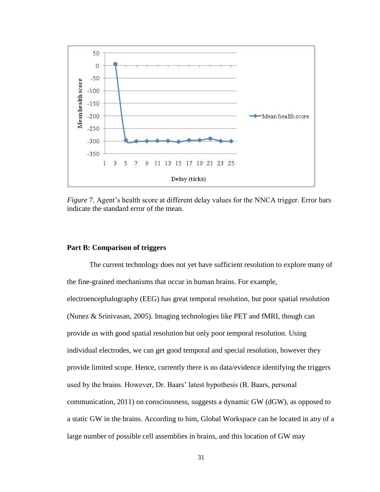

<span id="page-36-0"></span>*Figure* 7. Agent's health score at different delay values for the NNCA trigger. Error bars indicate the standard error of the mean.

#### **Part B: Comparison of triggers**

The current technology does not yet have sufficient resolution to explore many of the fine-grained mechanisms that occur in human brains. For example, electroencephalography (EEG) has great temporal resolution, but poor spatial resolution (Nunez & Srinivasan, 2005). Imaging technologies like PET and fMRI, though can provide us with good spatial resolution but only poor temporal resolution. Using individual electrodes, we can get good temporal and special resolution, however they provide limited scope. Hence, currently there is no data/evidence identifying the triggers used by the brains. However, Dr. Baars' latest hypothesis (B. Baars, personal communication, 2011) on consciousness, suggests a dynamic GW (dGW), as opposed to a static GW in the brains. According to him, Global Workspace can be located in any of a large number of possible cell assemblies in brains, and this location of GW may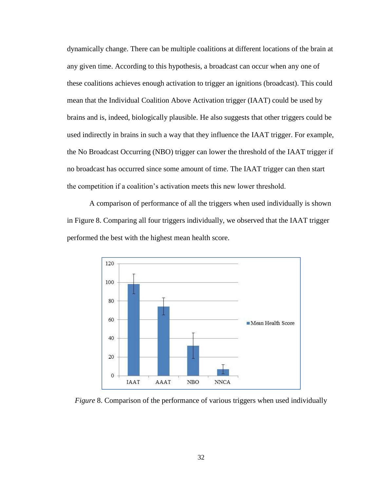dynamically change. There can be multiple coalitions at different locations of the brain at any given time. According to this hypothesis, a broadcast can occur when any one of these coalitions achieves enough activation to trigger an ignitions (broadcast). This could mean that the Individual Coalition Above Activation trigger (IAAT) could be used by brains and is, indeed, biologically plausible. He also suggests that other triggers could be used indirectly in brains in such a way that they influence the IAAT trigger. For example, the No Broadcast Occurring (NBO) trigger can lower the threshold of the IAAT trigger if no broadcast has occurred since some amount of time. The IAAT trigger can then start the competition if a coalition"s activation meets this new lower threshold.

A comparison of performance of all the triggers when used individually is shown in Figure 8. Comparing all four triggers individually, we observed that the IAAT trigger performed the best with the highest mean health score.



<span id="page-37-0"></span>*Figure* 8. Comparison of the performance of various triggers when used individually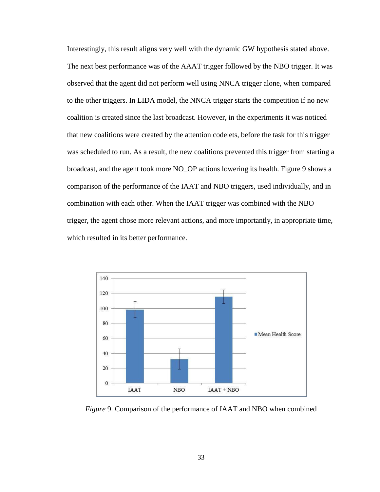Interestingly, this result aligns very well with the dynamic GW hypothesis stated above. The next best performance was of the AAAT trigger followed by the NBO trigger. It was observed that the agent did not perform well using NNCA trigger alone, when compared to the other triggers. In LIDA model, the NNCA trigger starts the competition if no new coalition is created since the last broadcast. However, in the experiments it was noticed that new coalitions were created by the attention codelets, before the task for this trigger was scheduled to run. As a result, the new coalitions prevented this trigger from starting a broadcast, and the agent took more NO\_OP actions lowering its health. Figure 9 shows a comparison of the performance of the IAAT and NBO triggers, used individually, and in combination with each other. When the IAAT trigger was combined with the NBO trigger, the agent chose more relevant actions, and more importantly, in appropriate time, which resulted in its better performance.



<span id="page-38-0"></span>*Figure* 9. Comparison of the performance of IAAT and NBO when combined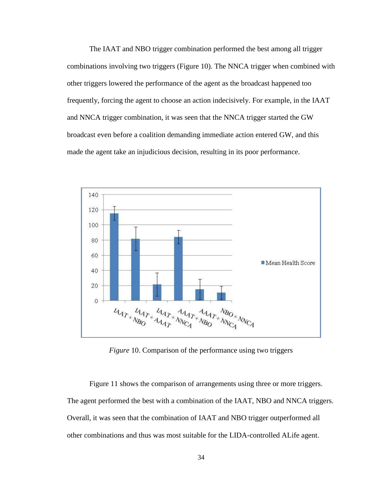The IAAT and NBO trigger combination performed the best among all trigger combinations involving two triggers (Figure 10). The NNCA trigger when combined with other triggers lowered the performance of the agent as the broadcast happened too frequently, forcing the agent to choose an action indecisively. For example, in the IAAT and NNCA trigger combination, it was seen that the NNCA trigger started the GW broadcast even before a coalition demanding immediate action entered GW, and this made the agent take an injudicious decision, resulting in its poor performance.



*Figure* 10. Comparison of the performance using two triggers

<span id="page-39-0"></span>Figure 11 shows the comparison of arrangements using three or more triggers. The agent performed the best with a combination of the IAAT, NBO and NNCA triggers. Overall, it was seen that the combination of IAAT and NBO trigger outperformed all other combinations and thus was most suitable for the LIDA-controlled ALife agent.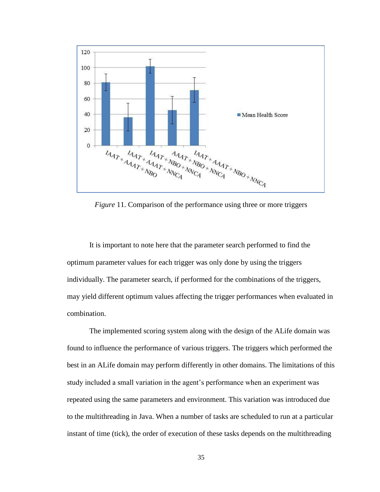

<span id="page-40-0"></span>*Figure* 11. Comparison of the performance using three or more triggers

It is important to note here that the parameter search performed to find the optimum parameter values for each trigger was only done by using the triggers individually. The parameter search, if performed for the combinations of the triggers, may yield different optimum values affecting the trigger performances when evaluated in combination.

The implemented scoring system along with the design of the ALife domain was found to influence the performance of various triggers. The triggers which performed the best in an ALife domain may perform differently in other domains. The limitations of this study included a small variation in the agent's performance when an experiment was repeated using the same parameters and environment. This variation was introduced due to the multithreading in Java. When a number of tasks are scheduled to run at a particular instant of time (tick), the order of execution of these tasks depends on the multithreading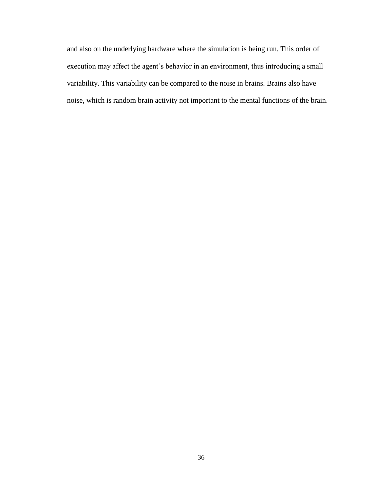and also on the underlying hardware where the simulation is being run. This order of execution may affect the agent's behavior in an environment, thus introducing a small variability. This variability can be compared to the noise in brains. Brains also have noise, which is random brain activity not important to the mental functions of the brain.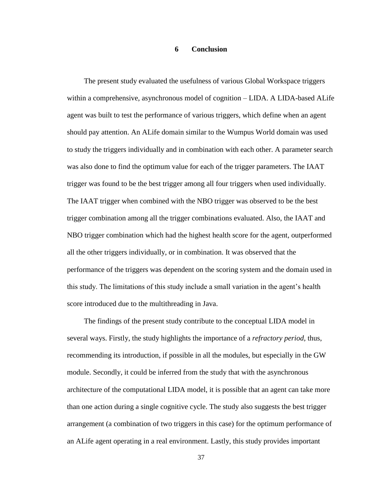#### **6 Conclusion**

<span id="page-42-0"></span>The present study evaluated the usefulness of various Global Workspace triggers within a comprehensive, asynchronous model of cognition – LIDA. A LIDA-based ALife agent was built to test the performance of various triggers, which define when an agent should pay attention. An ALife domain similar to the Wumpus World domain was used to study the triggers individually and in combination with each other. A parameter search was also done to find the optimum value for each of the trigger parameters. The IAAT trigger was found to be the best trigger among all four triggers when used individually. The IAAT trigger when combined with the NBO trigger was observed to be the best trigger combination among all the trigger combinations evaluated. Also, the IAAT and NBO trigger combination which had the highest health score for the agent, outperformed all the other triggers individually, or in combination. It was observed that the performance of the triggers was dependent on the scoring system and the domain used in this study. The limitations of this study include a small variation in the agent"s health score introduced due to the multithreading in Java.

The findings of the present study contribute to the conceptual LIDA model in several ways. Firstly, the study highlights the importance of a *refractory period,* thus, recommending its introduction, if possible in all the modules, but especially in the GW module. Secondly, it could be inferred from the study that with the asynchronous architecture of the computational LIDA model, it is possible that an agent can take more than one action during a single cognitive cycle. The study also suggests the best trigger arrangement (a combination of two triggers in this case) for the optimum performance of an ALife agent operating in a real environment. Lastly, this study provides important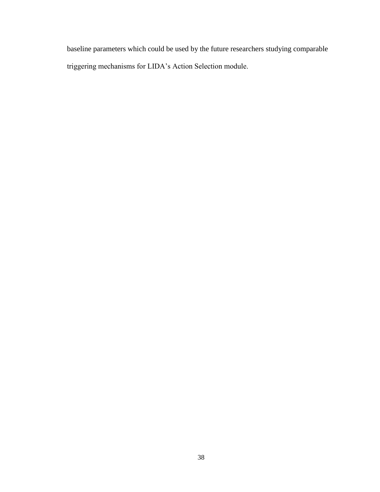<span id="page-43-0"></span>baseline parameters which could be used by the future researchers studying comparable triggering mechanisms for LIDA"s Action Selection module.